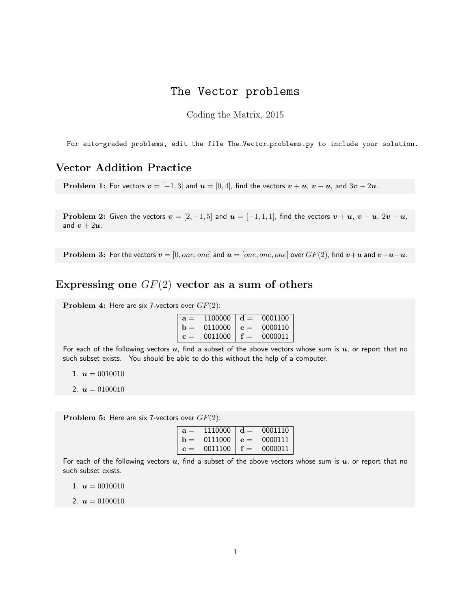## The Vector problems

Coding the Matrix, 2015

For auto-graded problems, edit the file The Vector problems.py to include your solution.

## Vector Addition Practice

Problem 1: For vectors  $v = [-1, 3]$  and  $u = [0, 4]$ , find the vectors  $v + u$ ,  $v - u$ , and  $3v - 2u$ .

Problem 2: Given the vectors  $v = [2, -1, 5]$  and  $u = [-1, 1, 1]$ , find the vectors  $v + u$ ,  $v - u$ ,  $2v - u$ , and  $v + 2u$ .

**Problem 3:** For the vectors  $v = [0, one, one]$  and  $u = [one, one, one]$  over  $GF(2)$ , find  $v+u$  and  $v+u+u$ .

## Expressing one  $GF(2)$  vector as a sum of others

Problem 4: Here are six 7-vectors over  $GF(2)$ :

| $a =$          | 1100000 $\mid d =$ | 0001100 |
|----------------|--------------------|---------|
| $h =$          | 0110000 $e =$      | 0000110 |
| $\mathbf{c} =$ | 0011000   $f =$    | 0000011 |

For each of the following vectors  $u$ , find a subset of the above vectors whose sum is  $u$ , or report that no such subset exists. You should be able to do this without the help of a computer.

1.  $u = 0010010$ 

2.  $u = 0100010$ 

**Problem 5:** Here are six 7-vectors over  $GF(2)$ :

| $a =$          |                      | $1110000 \mid d = 0001110 \mid$ |
|----------------|----------------------|---------------------------------|
|                | $b = 0111000   e = $ | 0000111                         |
| $\mathbf{c} =$ | 0011100   $f =$      | 0000011                         |

For each of the following vectors  $u$ , find a subset of the above vectors whose sum is  $u$ , or report that no such subset exists.

1.  $u = 0010010$ 

2.  $u = 0100010$